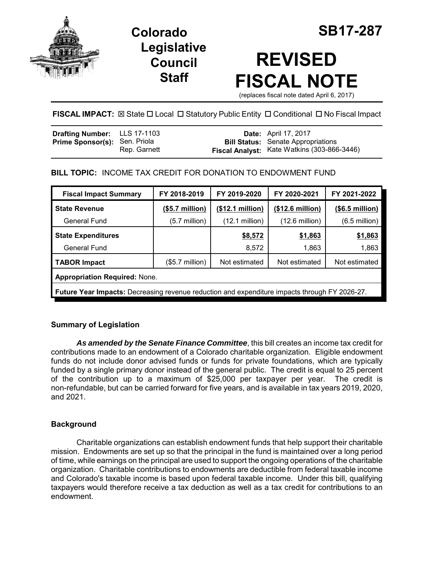

## **Legislative Council Staff**



# **REVISED FISCAL NOTE**

(replaces fiscal note dated April 6, 2017)

**FISCAL IMPACT:**  $\boxtimes$  State  $\Box$  Local  $\Box$  Statutory Public Entity  $\Box$  Conditional  $\Box$  No Fiscal Impact

| <b>Drafting Number:</b> LLS 17-1103  |              | <b>Date:</b> April 17, 2017                                                              |
|--------------------------------------|--------------|------------------------------------------------------------------------------------------|
| <b>Prime Sponsor(s): Sen. Priola</b> | Rep. Garnett | <b>Bill Status:</b> Senate Appropriations<br>Fiscal Analyst: Kate Watkins (303-866-3446) |

## **BILL TOPIC:** INCOME TAX CREDIT FOR DONATION TO ENDOWMENT FUND

| <b>Fiscal Impact Summary</b>                                                                  | FY 2018-2019            | FY 2019-2020             | FY 2020-2021             | FY 2021-2022    |  |  |  |
|-----------------------------------------------------------------------------------------------|-------------------------|--------------------------|--------------------------|-----------------|--|--|--|
| <b>State Revenue</b>                                                                          | $($5.7\text{ million})$ | (\$12.1 million)         | (\$12.6 million)         | (\$6.5 million) |  |  |  |
| General Fund                                                                                  | $(5.7 \text{ million})$ | $(12.1 \text{ million})$ | $(12.6 \text{ million})$ | $(6.5$ million) |  |  |  |
| <b>State Expenditures</b>                                                                     |                         | \$8,572                  | <u>\$1,863</u>           | \$1,863         |  |  |  |
| General Fund                                                                                  |                         | 8,572                    | 1,863                    | 1,863           |  |  |  |
| <b>TABOR Impact</b>                                                                           | $($5.7$ million $)$     | Not estimated            | Not estimated            | Not estimated   |  |  |  |
| <b>Appropriation Required: None.</b>                                                          |                         |                          |                          |                 |  |  |  |
| Future Year Impacts: Decreasing revenue reduction and expenditure impacts through FY 2026-27. |                         |                          |                          |                 |  |  |  |

## **Summary of Legislation**

*As amended by the Senate Finance Committee*, this bill creates an income tax credit for contributions made to an endowment of a Colorado charitable organization. Eligible endowment funds do not include donor advised funds or funds for private foundations, which are typically funded by a single primary donor instead of the general public. The credit is equal to 25 percent of the contribution up to a maximum of \$25,000 per taxpayer per year. The credit is non-refundable, but can be carried forward for five years, and is available in tax years 2019, 2020, and 2021.

## **Background**

Charitable organizations can establish endowment funds that help support their charitable mission. Endowments are set up so that the principal in the fund is maintained over a long period of time, while earnings on the principal are used to support the ongoing operations of the charitable organization. Charitable contributions to endowments are deductible from federal taxable income and Colorado's taxable income is based upon federal taxable income. Under this bill, qualifying taxpayers would therefore receive a tax deduction as well as a tax credit for contributions to an endowment.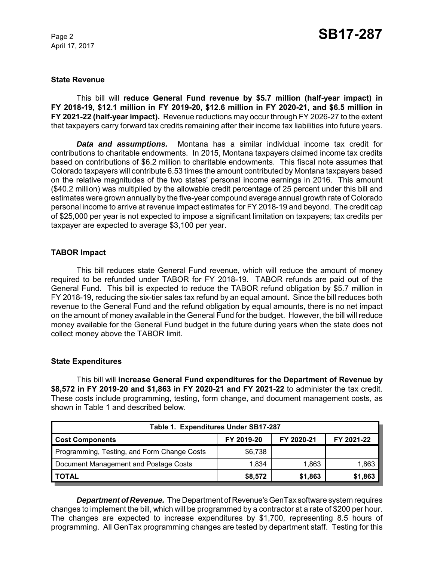April 17, 2017

#### **State Revenue**

This bill will **reduce General Fund revenue by \$5.7 million (half-year impact) in FY 2018-19, \$12.1 million in FY 2019-20, \$12.6 million in FY 2020-21, and \$6.5 million in FY 2021-22 (half-year impact).** Revenue reductions may occur through FY 2026-27 to the extent that taxpayers carry forward tax credits remaining after their income tax liabilities into future years.

*Data and assumptions.* Montana has a similar individual income tax credit for contributions to charitable endowments. In 2015, Montana taxpayers claimed income tax credits based on contributions of \$6.2 million to charitable endowments. This fiscal note assumes that Colorado taxpayers will contribute 6.53 times the amount contributed by Montana taxpayers based on the relative magnitudes of the two states' personal income earnings in 2016. This amount (\$40.2 million) was multiplied by the allowable credit percentage of 25 percent under this bill and estimates were grown annually by the five-year compound average annual growth rate of Colorado personal income to arrive at revenue impact estimates for FY 2018-19 and beyond. The credit cap of \$25,000 per year is not expected to impose a significant limitation on taxpayers; tax credits per taxpayer are expected to average \$3,100 per year.

#### **TABOR Impact**

This bill reduces state General Fund revenue, which will reduce the amount of money required to be refunded under TABOR for FY 2018-19. TABOR refunds are paid out of the General Fund. This bill is expected to reduce the TABOR refund obligation by \$5.7 million in FY 2018-19, reducing the six-tier sales tax refund by an equal amount. Since the bill reduces both revenue to the General Fund and the refund obligation by equal amounts, there is no net impact on the amount of money available in the General Fund for the budget. However, the bill will reduce money available for the General Fund budget in the future during years when the state does not collect money above the TABOR limit.

#### **State Expenditures**

This bill will **increase General Fund expenditures for the Department of Revenue by \$8,572 in FY 2019-20 and \$1,863 in FY 2020-21 and FY 2021-22** to administer the tax credit. These costs include programming, testing, form change, and document management costs, as shown in Table 1 and described below.

| Table 1. Expenditures Under SB17-287        |            |            |            |  |  |  |
|---------------------------------------------|------------|------------|------------|--|--|--|
| <b>Cost Components</b>                      | FY 2019-20 | FY 2020-21 | FY 2021-22 |  |  |  |
| Programming, Testing, and Form Change Costs | \$6,738    |            |            |  |  |  |
| Document Management and Postage Costs       | 1.834      | 1.863      | 1,863      |  |  |  |
| I TOTAL                                     | \$8,572    | \$1,863    | \$1,863    |  |  |  |

*Department of Revenue.* The Department of Revenue's GenTax software system requires changes to implement the bill, which will be programmed by a contractor at a rate of \$200 per hour. The changes are expected to increase expenditures by \$1,700, representing 8.5 hours of programming. All GenTax programming changes are tested by department staff. Testing for this